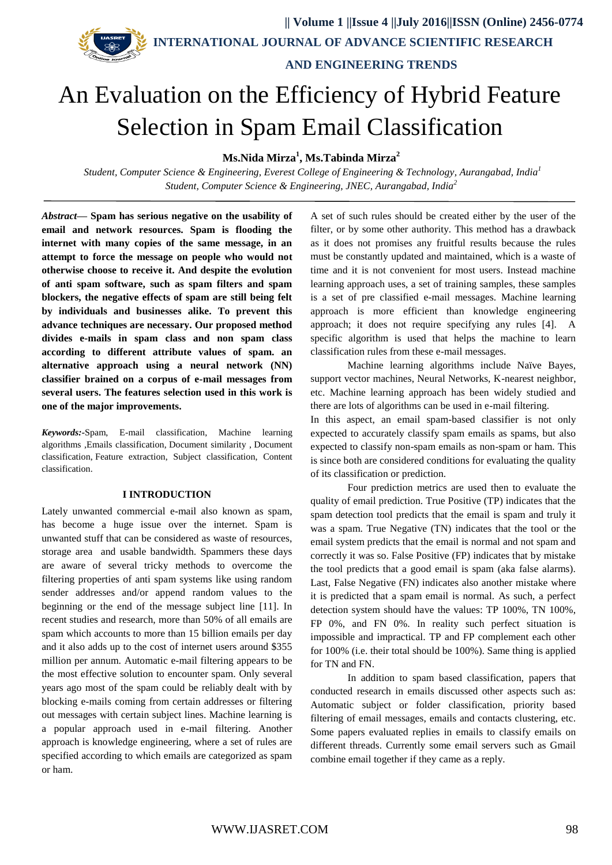**|| Volume 1 ||Issue 4 ||July 2016||ISSN (Online) 2456-0774**

 **INTERNATIONAL JOURNAL OF ADVANCE SCIENTIFIC RESEARCH** 

 **AND ENGINEERING TRENDS**

# An Evaluation on the Efficiency of Hybrid Feature Selection in Spam Email Classification

**Ms.Nida Mirza<sup>1</sup> , Ms.Tabinda Mirza<sup>2</sup>**

*Student, Computer Science & Engineering, Everest College of Engineering & Technology, Aurangabad, India<sup>1</sup> Student, Computer Science & Engineering, JNEC, Aurangabad, India<sup>2</sup>*

*Abstract***— Spam has serious negative on the usability of email and network resources. Spam is flooding the internet with many copies of the same message, in an attempt to force the message on people who would not otherwise choose to receive it. And despite the evolution of anti spam software, such as spam filters and spam blockers, the negative effects of spam are still being felt by individuals and businesses alike. To prevent this advance techniques are necessary. Our proposed method divides e-mails in spam class and non spam class according to different attribute values of spam. an alternative approach using a neural network (NN) classifier brained on a corpus of e-mail messages from several users. The features selection used in this work is one of the major improvements.**

*Keywords:-*Spam, E-mail classification, Machine learning algorithms ,Emails classification, Document similarity , Document classification, Feature extraction, Subject classification, Content classification.

#### **I INTRODUCTION**

Lately unwanted commercial e-mail also known as spam, has become a huge issue over the internet. Spam is unwanted stuff that can be considered as waste of resources, storage area and usable bandwidth. Spammers these days are aware of several tricky methods to overcome the filtering properties of anti spam systems like using random sender addresses and/or append random values to the beginning or the end of the message subject line [11]. In recent studies and research, more than 50% of all emails are spam which accounts to more than 15 billion emails per day and it also adds up to the cost of internet users around \$355 million per annum. Automatic e-mail filtering appears to be the most effective solution to encounter spam. Only several years ago most of the spam could be reliably dealt with by blocking e-mails coming from certain addresses or filtering out messages with certain subject lines. Machine learning is a popular approach used in e-mail filtering. Another approach is knowledge engineering, where a set of rules are specified according to which emails are categorized as spam or ham.

A set of such rules should be created either by the user of the filter, or by some other authority. This method has a drawback as it does not promises any fruitful results because the rules must be constantly updated and maintained, which is a waste of time and it is not convenient for most users. Instead machine learning approach uses, a set of training samples, these samples is a set of pre classified e-mail messages. Machine learning approach is more efficient than knowledge engineering approach; it does not require specifying any rules [4]. A specific algorithm is used that helps the machine to learn classification rules from these e-mail messages.

Machine learning algorithms include Naïve Bayes, support vector machines, Neural Networks, K-nearest neighbor, etc. Machine learning approach has been widely studied and there are lots of algorithms can be used in e-mail filtering.

In this aspect, an email spam-based classifier is not only expected to accurately classify spam emails as spams, but also expected to classify non-spam emails as non-spam or ham. This is since both are considered conditions for evaluating the quality of its classification or prediction.

Four prediction metrics are used then to evaluate the quality of email prediction. True Positive (TP) indicates that the spam detection tool predicts that the email is spam and truly it was a spam. True Negative (TN) indicates that the tool or the email system predicts that the email is normal and not spam and correctly it was so. False Positive (FP) indicates that by mistake the tool predicts that a good email is spam (aka false alarms). Last, False Negative (FN) indicates also another mistake where it is predicted that a spam email is normal. As such, a perfect detection system should have the values: TP 100%, TN 100%, FP 0%, and FN 0%. In reality such perfect situation is impossible and impractical. TP and FP complement each other for 100% (i.e. their total should be 100%). Same thing is applied for TN and FN.

In addition to spam based classification, papers that conducted research in emails discussed other aspects such as: Automatic subject or folder classification, priority based filtering of email messages, emails and contacts clustering, etc. Some papers evaluated replies in emails to classify emails on different threads. Currently some email servers such as Gmail combine email together if they came as a reply.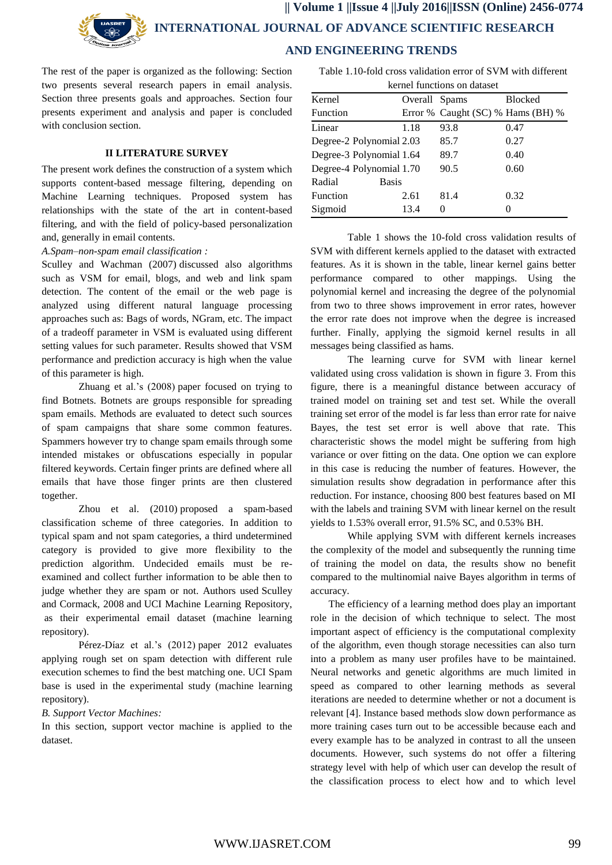

 **|| Volume 1 ||Issue 4 ||July 2016||ISSN (Online) 2456-0774 INTERNATIONAL JOURNAL OF ADVANCE SCIENTIFIC RESEARCH AND ENGINEERING TRENDS**

The rest of the paper is organized as the following: Section two presents several research papers in email analysis. Section three presents goals and approaches. Section four presents experiment and analysis and paper is concluded with conclusion section.

## **II LITERATURE SURVEY**

The present work defines the construction of a system which supports content-based message filtering, depending on Machine Learning techniques. Proposed system has relationships with the state of the art in content-based filtering, and with the field of policy-based personalization and, generally in email contents.

*A.Spam–non-spam email classification :*

[Sculley and Wachman \(2007\)](http://www.sciencedirect.com/science/article/pii/S1319157814000573#b0035) discussed also algorithms such as VSM for email, blogs, and web and link spam detection. The content of the email or the web page is analyzed using different natural language processing approaches such as: Bags of words, NGram, etc. The impact of a tradeoff parameter in VSM is evaluated using different setting values for such parameter. Results showed that VSM performance and prediction accuracy is high when the value of this parameter is high.

[Zhuang et al.'s \(2008\)](http://www.sciencedirect.com/science/article/pii/S1319157814000573#b0015) paper focused on trying to find Botnets. Botnets are groups responsible for spreading spam emails. Methods are evaluated to detect such sources of spam campaigns that share some common features. Spammers however try to change spam emails through some intended mistakes or obfuscations especially in popular filtered keywords. Certain finger prints are defined where all emails that have those finger prints are then clustered together.

[Zhou et al. \(2010\)](http://www.sciencedirect.com/science/article/pii/S1319157814000573#b0040) proposed a spam-based classification scheme of three categories. In addition to typical spam and not spam categories, a third undetermined category is provided to give more flexibility to the prediction algorithm. Undecided emails must be reexamined and collect further information to be able then to judge whether they are spam or not. Authors used [Sculley](http://www.sciencedirect.com/science/article/pii/S1319157814000573#b0055)  [and Cormack, 2008](http://www.sciencedirect.com/science/article/pii/S1319157814000573#b0055) and [UCI Machine Learning Repository,](http://www.sciencedirect.com/science/article/pii/S1319157814000573#b0060) as their experimental email dataset (machine learning repository).

[Pérez-Díaz et al.'s \(2012\)](http://www.sciencedirect.com/science/article/pii/S1319157814000573#b0045) paper 2012 evaluates applying rough set on spam detection with different rule execution schemes to find the best matching one. UCI Spam base is used in the experimental study (machine learning repository).

## *B. Support Vector Machines:*

In this section, support vector machine is applied to the dataset.

Table 1.10-fold cross validation error of SVM with different kernel functions on dataset

| kernei tunctions on dataset |         |                                   |                |
|-----------------------------|---------|-----------------------------------|----------------|
| Kernel                      | Overall | <b>Spams</b>                      | <b>Blocked</b> |
| Function                    |         | Error % Caught (SC) % Hams (BH) % |                |
| Linear                      | 1.18    | 93.8                              | 0.47           |
| Degree-2 Polynomial 2.03    |         | 85.7                              | 0.27           |
| Degree-3 Polynomial 1.64    |         | 89.7                              | 0.40           |
| Degree-4 Polynomial 1.70    |         | 90.5                              | 0.60           |
| Radial<br><b>Basis</b>      |         |                                   |                |
| <b>Function</b>             | 2.61    | 81.4                              | 0.32           |
| Sigmoid                     | 13.4    | $\theta$                          |                |

Table 1 shows the 10-fold cross validation results of SVM with different kernels applied to the dataset with extracted features. As it is shown in the table, linear kernel gains better performance compared to other mappings. Using the polynomial kernel and increasing the degree of the polynomial from two to three shows improvement in error rates, however the error rate does not improve when the degree is increased further. Finally, applying the sigmoid kernel results in all messages being classified as hams.

The learning curve for SVM with linear kernel validated using cross validation is shown in figure 3. From this figure, there is a meaningful distance between accuracy of trained model on training set and test set. While the overall training set error of the model is far less than error rate for naive Bayes, the test set error is well above that rate. This characteristic shows the model might be suffering from high variance or over fitting on the data. One option we can explore in this case is reducing the number of features. However, the simulation results show degradation in performance after this reduction. For instance, choosing 800 best features based on MI with the labels and training SVM with linear kernel on the result yields to 1.53% overall error, 91.5% SC, and 0.53% BH.

While applying SVM with different kernels increases the complexity of the model and subsequently the running time of training the model on data, the results show no benefit compared to the multinomial naive Bayes algorithm in terms of accuracy.

 The efficiency of a learning method does play an important role in the decision of which technique to select. The most important aspect of efficiency is the computational complexity of the algorithm, even though storage necessities can also turn into a problem as many user profiles have to be maintained. Neural networks and genetic algorithms are much limited in speed as compared to other learning methods as several iterations are needed to determine whether or not a document is relevant [4]. Instance based methods slow down performance as more training cases turn out to be accessible because each and every example has to be analyzed in contrast to all the unseen documents. However, such systems do not offer a filtering strategy level with help of which user can develop the result of the classification process to elect how and to which level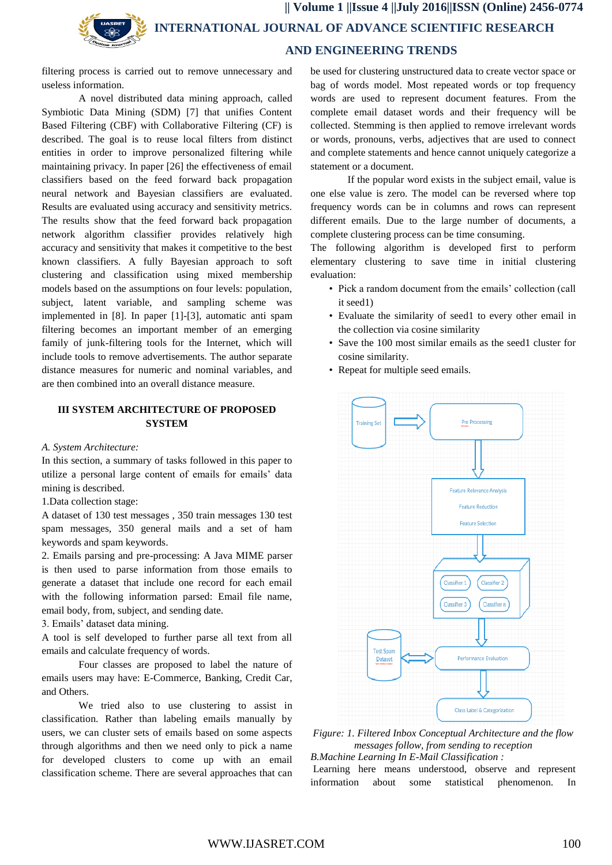**|| Volume 1 ||Issue 4 ||July 2016||ISSN (Online) 2456-0774 INTERNATIONAL JOURNAL OF ADVANCE SCIENTIFIC RESEARCH AND ENGINEERING TRENDS**

filtering process is carried out to remove unnecessary and useless information.

A novel distributed data mining approach, called Symbiotic Data Mining (SDM) [7] that unifies Content Based Filtering (CBF) with Collaborative Filtering (CF) is described. The goal is to reuse local filters from distinct entities in order to improve personalized filtering while maintaining privacy. In paper [26] the effectiveness of email classifiers based on the feed forward back propagation neural network and Bayesian classifiers are evaluated. Results are evaluated using accuracy and sensitivity metrics. The results show that the feed forward back propagation network algorithm classifier provides relatively high accuracy and sensitivity that makes it competitive to the best known classifiers. A fully Bayesian approach to soft clustering and classification using mixed membership models based on the assumptions on four levels: population, subject, latent variable, and sampling scheme was implemented in [8]. In paper [1]-[3], automatic anti spam filtering becomes an important member of an emerging family of junk-filtering tools for the Internet, which will include tools to remove advertisements. The author separate distance measures for numeric and nominal variables, and are then combined into an overall distance measure.

# **III SYSTEM ARCHITECTURE OF PROPOSED SYSTEM**

#### *A. System Architecture:*

In this section, a summary of tasks followed in this paper to utilize a personal large content of emails for emails' data mining is described.

1.Data collection stage:

A dataset of 130 test messages , 350 train messages 130 test spam messages, 350 general mails and a set of ham keywords and spam keywords.

2. Emails parsing and pre-processing: A Java MIME parser is then used to parse information from those emails to generate a dataset that include one record for each email with the following information parsed: Email file name, email body, from, subject, and sending date.

3. Emails' dataset data mining.

A tool is self developed to further parse all text from all emails and calculate frequency of words.

Four classes are proposed to label the nature of emails users may have: E-Commerce, Banking, Credit Car, and Others.

We tried also to use clustering to assist in classification. Rather than labeling emails manually by users, we can cluster sets of emails based on some aspects through algorithms and then we need only to pick a name for developed clusters to come up with an email classification scheme. There are several approaches that can

be used for clustering unstructured data to create vector space or bag of words model. Most repeated words or top frequency words are used to represent document features. From the complete email dataset words and their frequency will be collected. Stemming is then applied to remove irrelevant words or words, pronouns, verbs, adjectives that are used to connect and complete statements and hence cannot uniquely categorize a statement or a document.

If the popular word exists in the subject email, value is one else value is zero. The model can be reversed where top frequency words can be in columns and rows can represent different emails. Due to the large number of documents, a complete clustering process can be time consuming.

The following algorithm is developed first to perform elementary clustering to save time in initial clustering evaluation:

- Pick a random document from the emails' collection (call it seed1)
- Evaluate the similarity of seed1 to every other email in the collection via cosine similarity
- Save the 100 most similar emails as the seed1 cluster for cosine similarity.
- Repeat for multiple seed emails.



*Figure: 1. Filtered Inbox Conceptual Architecture and the flow messages follow, from sending to reception B.Machine Learning In E-Mail Classification :*

Learning here means understood, observe and represent information about some statistical phenomenon. In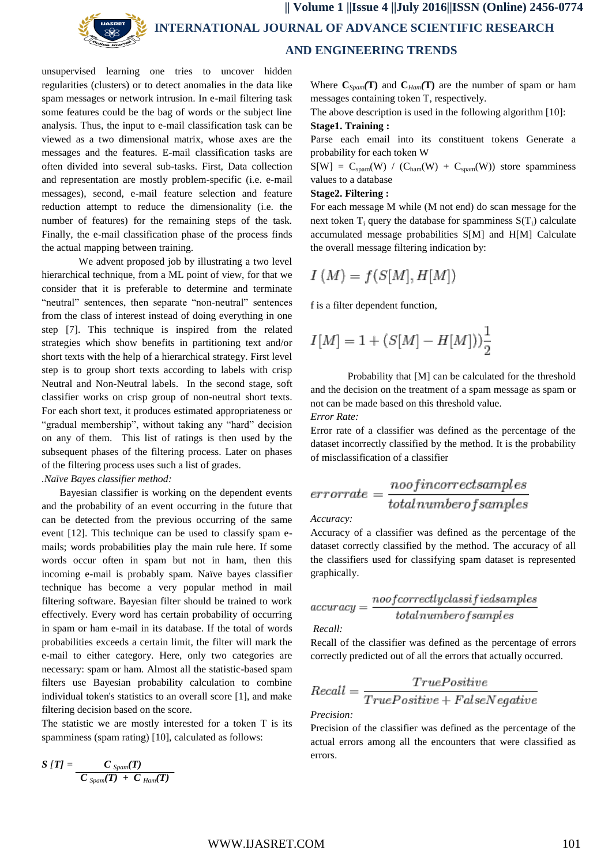

 **|| Volume 1 ||Issue 4 ||July 2016||ISSN (Online) 2456-0774 INTERNATIONAL JOURNAL OF ADVANCE SCIENTIFIC RESEARCH AND ENGINEERING TRENDS**

unsupervised learning one tries to uncover hidden regularities (clusters) or to detect anomalies in the data like spam messages or network intrusion. In e-mail filtering task some features could be the bag of words or the subject line analysis. Thus, the input to e-mail classification task can be viewed as a two dimensional matrix, whose axes are the messages and the features. E-mail classification tasks are often divided into several sub-tasks. First, Data collection and representation are mostly problem-specific (i.e. e-mail messages), second, e-mail feature selection and feature reduction attempt to reduce the dimensionality (i.e. the number of features) for the remaining steps of the task. Finally, the e-mail classification phase of the process finds the actual mapping between training.

We advent proposed job by illustrating a two level hierarchical technique, from a ML point of view, for that we consider that it is preferable to determine and terminate "neutral" sentences, then separate "non-neutral" sentences from the class of interest instead of doing everything in one step [7]. This technique is inspired from the related strategies which show benefits in partitioning text and/or short texts with the help of a hierarchical strategy. First level step is to group short texts according to labels with crisp Neutral and Non-Neutral labels. In the second stage, soft classifier works on crisp group of non-neutral short texts. For each short text, it produces estimated appropriateness or "gradual membership", without taking any "hard" decision on any of them. This list of ratings is then used by the subsequent phases of the filtering process. Later on phases of the filtering process uses such a list of grades. *.Naïve Bayes classifier method:*

 Bayesian classifier is working on the dependent events and the probability of an event occurring in the future that can be detected from the previous occurring of the same event [12]. This technique can be used to classify spam emails; words probabilities play the main rule here. If some words occur often in spam but not in ham, then this incoming e-mail is probably spam. Naïve bayes classifier technique has become a very popular method in mail filtering software. Bayesian filter should be trained to work effectively. Every word has certain probability of occurring in spam or ham e-mail in its database. If the total of words probabilities exceeds a certain limit, the filter will mark the e-mail to either category. Here, only two categories are necessary: spam or ham. Almost all the statistic-based spam filters use Bayesian probability calculation to combine individual token's statistics to an overall score [1], and make filtering decision based on the score.

The statistic we are mostly interested for a token T is its spamminess (spam rating) [10], calculated as follows:

$$
S[T] = \frac{C_{Span}(T)}{C_{Span}(T) + C_{Ham}(T)}
$$

Where  $C_{S*pam}*(T)$  and  $C_{Ham}(T)$  are the number of spam or ham messages containing token T, respectively.

The above description is used in the following algorithm [10]:

#### **Stage1. Training :**

Parse each email into its constituent tokens Generate a probability for each token W

 $S[W] = C_{spam}(W) / (C_{ham}(W) + C_{spam}(W))$  store spamminess values to a database

#### **Stage2. Filtering :**

For each message M while (M not end) do scan message for the next token  $T_i$  query the database for spamminess  $S(T_i)$  calculate accumulated message probabilities S[M] and H[M] Calculate the overall message filtering indication by:

$$
I\left(M\right)=f\left(S[M],H[M]\right)
$$

f is a filter dependent function,

$$
I[M] = 1 + (S[M] - H[M]))\frac{1}{2}
$$

Probability that [M] can be calculated for the threshold and the decision on the treatment of a spam message as spam or not can be made based on this threshold value.

*Error Rate:*

Error rate of a classifier was defined as the percentage of the dataset incorrectly classified by the method. It is the probability of misclassification of a classifier

$$
error rate = \frac{noof incorrect samples}{total number of samples}
$$

*Accuracy:*

Accuracy of a classifier was defined as the percentage of the dataset correctly classified by the method. The accuracy of all the classifiers used for classifying spam dataset is represented graphically.

$$
accuracy = \frac{noof correctlyclassified samples}{total number of samples}
$$

*Recall:*

Recall of the classifier was defined as the percentage of errors correctly predicted out of all the errors that actually occurred.

$$
Recall = \frac{TruePositive}{TruePositive + FalseNegative}
$$

*Precision:*

Precision of the classifier was defined as the percentage of the actual errors among all the encounters that were classified as errors.